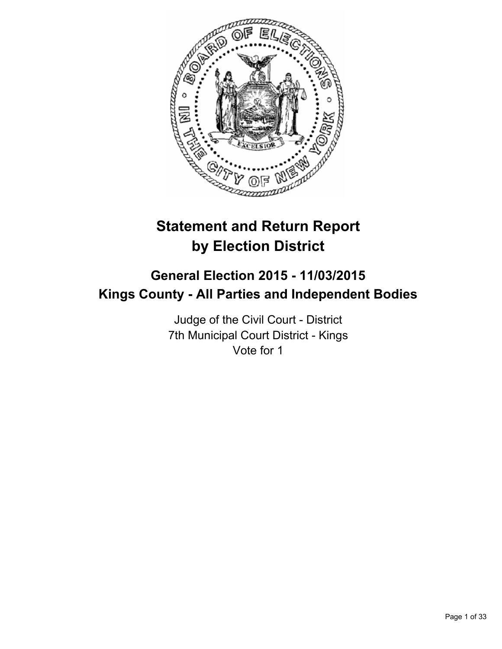

# **Statement and Return Report by Election District**

# **General Election 2015 - 11/03/2015 Kings County - All Parties and Independent Bodies**

Judge of the Civil Court - District 7th Municipal Court District - Kings Vote for 1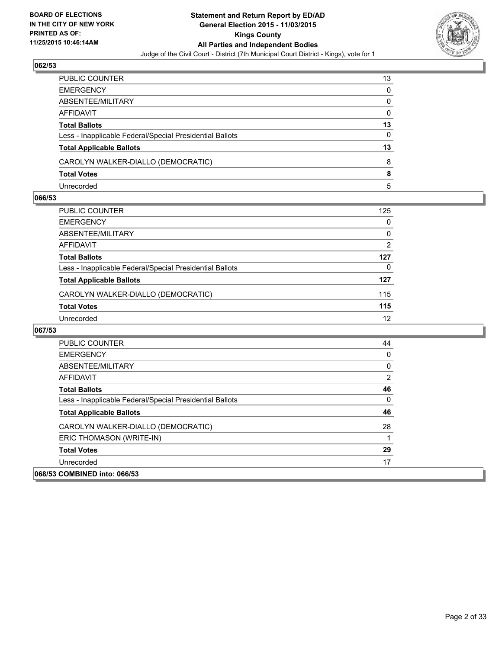

| PUBLIC COUNTER                                           | 13           |
|----------------------------------------------------------|--------------|
| <b>EMERGENCY</b>                                         | $\Omega$     |
| ABSENTEE/MILITARY                                        | 0            |
| AFFIDAVIT                                                | $\mathbf{0}$ |
| <b>Total Ballots</b>                                     | 13           |
| Less - Inapplicable Federal/Special Presidential Ballots | 0            |
| <b>Total Applicable Ballots</b>                          | 13           |
| CAROLYN WALKER-DIALLO (DEMOCRATIC)                       | 8            |
| <b>Total Votes</b>                                       | 8            |
| Unrecorded                                               | 5            |

#### **066/53**

| PUBLIC COUNTER                                           | 125               |
|----------------------------------------------------------|-------------------|
| EMERGENCY                                                | 0                 |
| ABSENTEE/MILITARY                                        | 0                 |
| AFFIDAVIT                                                | 2                 |
| Total Ballots                                            | 127               |
| Less - Inapplicable Federal/Special Presidential Ballots | 0                 |
| <b>Total Applicable Ballots</b>                          | 127               |
| CAROLYN WALKER-DIALLO (DEMOCRATIC)                       | 115               |
| Total Votes                                              | 115               |
| Unrecorded                                               | $12 \overline{ }$ |

| <b>PUBLIC COUNTER</b>                                    | 44 |
|----------------------------------------------------------|----|
| <b>EMERGENCY</b>                                         | 0  |
| ABSENTEE/MILITARY                                        | 0  |
| <b>AFFIDAVIT</b>                                         | 2  |
| <b>Total Ballots</b>                                     | 46 |
| Less - Inapplicable Federal/Special Presidential Ballots | 0  |
| <b>Total Applicable Ballots</b>                          | 46 |
| CAROLYN WALKER-DIALLO (DEMOCRATIC)                       | 28 |
| ERIC THOMASON (WRITE-IN)                                 |    |
| <b>Total Votes</b>                                       | 29 |
| Unrecorded                                               | 17 |
| 068/53 COMBINED into: 066/53                             |    |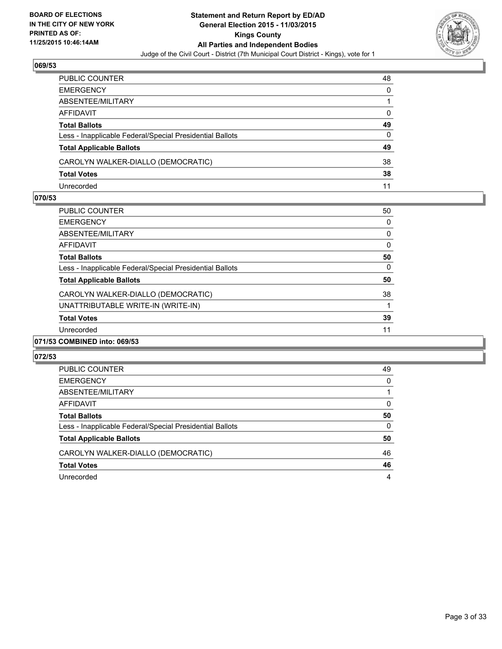

| PUBLIC COUNTER                                           | 48 |
|----------------------------------------------------------|----|
| EMERGENCY                                                | 0  |
| ABSENTEE/MILITARY                                        |    |
| AFFIDAVIT                                                | 0  |
| Total Ballots                                            | 49 |
| Less - Inapplicable Federal/Special Presidential Ballots | 0  |
| <b>Total Applicable Ballots</b>                          | 49 |
| CAROLYN WALKER-DIALLO (DEMOCRATIC)                       | 38 |
| <b>Total Votes</b>                                       | 38 |
| Unrecorded                                               | 11 |

#### **070/53**

| <b>PUBLIC COUNTER</b>                                    | 50           |
|----------------------------------------------------------|--------------|
| <b>EMERGENCY</b>                                         | 0            |
| ABSENTEE/MILITARY                                        | 0            |
| AFFIDAVIT                                                | $\mathbf{0}$ |
| <b>Total Ballots</b>                                     | 50           |
| Less - Inapplicable Federal/Special Presidential Ballots | 0            |
| <b>Total Applicable Ballots</b>                          | 50           |
| CAROLYN WALKER-DIALLO (DEMOCRATIC)                       | 38           |
| UNATTRIBUTABLE WRITE-IN (WRITE-IN)                       | 1            |
| <b>Total Votes</b>                                       | 39           |
| Unrecorded                                               | 11           |
| 071/53 COMBINED into: 069/53                             |              |

| PUBLIC COUNTER                                           | 49 |
|----------------------------------------------------------|----|
| <b>EMERGENCY</b>                                         | 0  |
| ABSENTEE/MILITARY                                        |    |
| AFFIDAVIT                                                | 0  |
| <b>Total Ballots</b>                                     | 50 |
| Less - Inapplicable Federal/Special Presidential Ballots | 0  |
| <b>Total Applicable Ballots</b>                          | 50 |
| CAROLYN WALKER-DIALLO (DEMOCRATIC)                       | 46 |
| <b>Total Votes</b>                                       | 46 |
| Unrecorded                                               | 4  |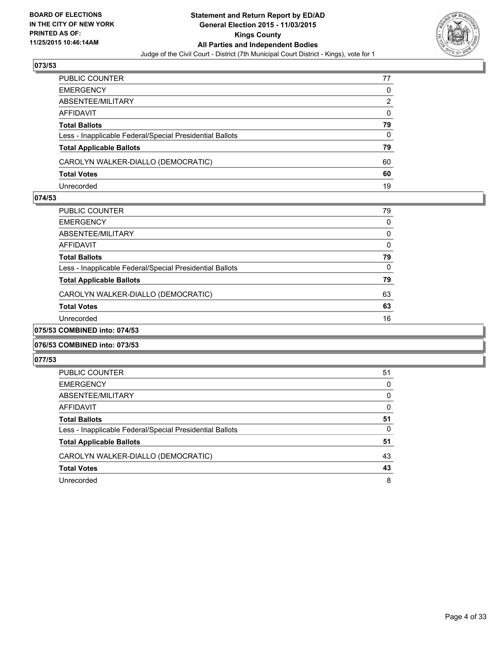

| PUBLIC COUNTER                                           | 77 |
|----------------------------------------------------------|----|
| EMERGENCY                                                | 0  |
| ABSENTEE/MILITARY                                        | 2  |
| AFFIDAVIT                                                | 0  |
| Total Ballots                                            | 79 |
| Less - Inapplicable Federal/Special Presidential Ballots | 0  |
| <b>Total Applicable Ballots</b>                          | 79 |
| CAROLYN WALKER-DIALLO (DEMOCRATIC)                       | 60 |
| <b>Total Votes</b>                                       | 60 |
| Unrecorded                                               | 19 |

#### **074/53**

| PUBLIC COUNTER                                           | 79 |
|----------------------------------------------------------|----|
| EMERGENCY                                                | 0  |
| ABSENTEE/MILITARY                                        | 0  |
| AFFIDAVIT                                                | 0  |
| Total Ballots                                            | 79 |
| Less - Inapplicable Federal/Special Presidential Ballots | 0  |
| <b>Total Applicable Ballots</b>                          | 79 |
| CAROLYN WALKER-DIALLO (DEMOCRATIC)                       | 63 |
| <b>Total Votes</b>                                       | 63 |
| Unrecorded                                               | 16 |
| COMDINED into: 074/52                                    |    |

## **075/53 COMBINED into: 074/53**

## **076/53 COMBINED into: 073/53**

| <b>PUBLIC COUNTER</b>                                    | 51 |
|----------------------------------------------------------|----|
| <b>EMERGENCY</b>                                         | 0  |
| ABSENTEE/MILITARY                                        | 0  |
| AFFIDAVIT                                                | 0  |
| <b>Total Ballots</b>                                     | 51 |
| Less - Inapplicable Federal/Special Presidential Ballots | 0  |
| <b>Total Applicable Ballots</b>                          | 51 |
| CAROLYN WALKER-DIALLO (DEMOCRATIC)                       | 43 |
| <b>Total Votes</b>                                       | 43 |
| Unrecorded                                               | 8  |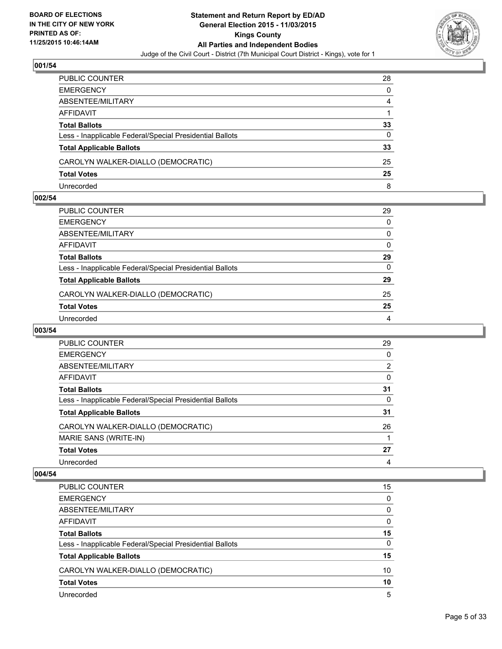

| PUBLIC COUNTER                                           | 28 |
|----------------------------------------------------------|----|
| EMERGENCY                                                | 0  |
| ABSENTEE/MILITARY                                        | 4  |
| AFFIDAVIT                                                |    |
| Total Ballots                                            | 33 |
| Less - Inapplicable Federal/Special Presidential Ballots | 0  |
| <b>Total Applicable Ballots</b>                          | 33 |
| CAROLYN WALKER-DIALLO (DEMOCRATIC)                       | 25 |
| <b>Total Votes</b>                                       | 25 |
| Unrecorded                                               | 8  |

## **002/54**

| PUBLIC COUNTER                                           | 29           |
|----------------------------------------------------------|--------------|
| EMERGENCY                                                | $\Omega$     |
| ABSENTEE/MILITARY                                        | 0            |
| AFFIDAVIT                                                | 0            |
| Total Ballots                                            | 29           |
| Less - Inapplicable Federal/Special Presidential Ballots | $\mathbf{0}$ |
| <b>Total Applicable Ballots</b>                          | 29           |
| CAROLYN WALKER-DIALLO (DEMOCRATIC)                       | 25           |
| <b>Total Votes</b>                                       | 25           |
| Unrecorded                                               | 4            |
|                                                          |              |

## **003/54**

| <b>PUBLIC COUNTER</b>                                    | 29             |
|----------------------------------------------------------|----------------|
| <b>EMERGENCY</b>                                         | 0              |
| ABSENTEE/MILITARY                                        | $\overline{2}$ |
| AFFIDAVIT                                                | 0              |
| <b>Total Ballots</b>                                     | 31             |
| Less - Inapplicable Federal/Special Presidential Ballots | 0              |
| <b>Total Applicable Ballots</b>                          | 31             |
| CAROLYN WALKER-DIALLO (DEMOCRATIC)                       | 26             |
| MARIE SANS (WRITE-IN)                                    |                |
| <b>Total Votes</b>                                       | 27             |
| Unrecorded                                               | 4              |

| PUBLIC COUNTER                                           | 15 |
|----------------------------------------------------------|----|
| <b>EMERGENCY</b>                                         | 0  |
| ABSENTEE/MILITARY                                        | 0  |
| AFFIDAVIT                                                | 0  |
| <b>Total Ballots</b>                                     | 15 |
| Less - Inapplicable Federal/Special Presidential Ballots | 0  |
| <b>Total Applicable Ballots</b>                          | 15 |
| CAROLYN WALKER-DIALLO (DEMOCRATIC)                       | 10 |
| <b>Total Votes</b>                                       | 10 |
| Unrecorded                                               | 5  |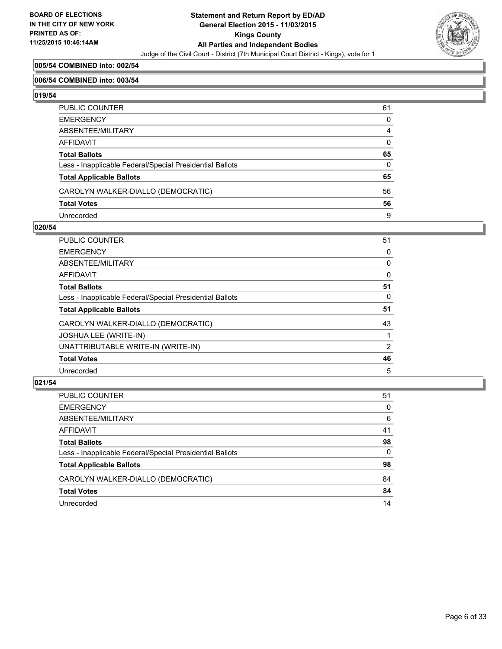

## **005/54 COMBINED into: 002/54**

#### **006/54 COMBINED into: 003/54**

**019/54** 

| PUBLIC COUNTER                                           | 61           |
|----------------------------------------------------------|--------------|
| EMERGENCY                                                | 0            |
| ABSENTEE/MILITARY                                        | 4            |
| AFFIDAVIT                                                | 0            |
| Total Ballots                                            | 65           |
| Less - Inapplicable Federal/Special Presidential Ballots | $\mathbf{0}$ |
| <b>Total Applicable Ballots</b>                          | 65           |
| CAROLYN WALKER-DIALLO (DEMOCRATIC)                       | 56           |
| Total Votes                                              | 56           |
| Unrecorded                                               | 9            |

## **020/54**

| <b>PUBLIC COUNTER</b>                                    | 51             |
|----------------------------------------------------------|----------------|
| <b>EMERGENCY</b>                                         | 0              |
| ABSENTEE/MILITARY                                        | 0              |
| <b>AFFIDAVIT</b>                                         | 0              |
| <b>Total Ballots</b>                                     | 51             |
| Less - Inapplicable Federal/Special Presidential Ballots | 0              |
| <b>Total Applicable Ballots</b>                          | 51             |
| CAROLYN WALKER-DIALLO (DEMOCRATIC)                       | 43             |
| <b>JOSHUA LEE (WRITE-IN)</b>                             |                |
| UNATTRIBUTABLE WRITE-IN (WRITE-IN)                       | $\overline{2}$ |
| <b>Total Votes</b>                                       | 46             |
| Unrecorded                                               | 5              |

| PUBLIC COUNTER                                           | 51 |
|----------------------------------------------------------|----|
| <b>EMERGENCY</b>                                         | 0  |
| ABSENTEE/MILITARY                                        | 6  |
| <b>AFFIDAVIT</b>                                         | 41 |
| <b>Total Ballots</b>                                     | 98 |
| Less - Inapplicable Federal/Special Presidential Ballots | 0  |
| <b>Total Applicable Ballots</b>                          | 98 |
| CAROLYN WALKER-DIALLO (DEMOCRATIC)                       | 84 |
| <b>Total Votes</b>                                       | 84 |
| Unrecorded                                               | 14 |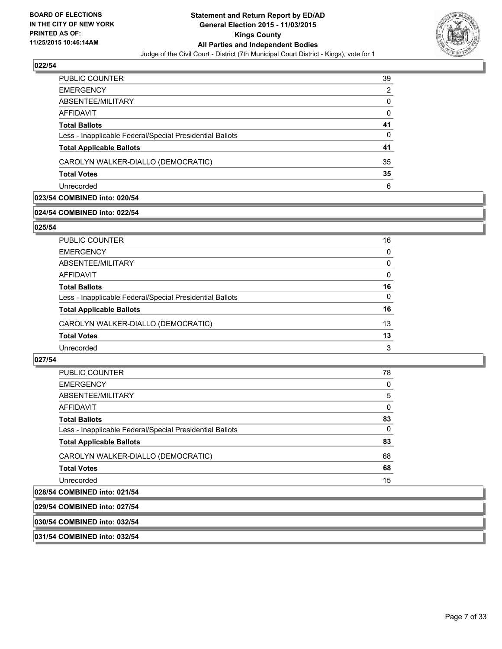

| <b>PUBLIC COUNTER</b>                                    | 39 |
|----------------------------------------------------------|----|
| <b>EMERGENCY</b>                                         | 2  |
| ABSENTEE/MILITARY                                        | 0  |
| AFFIDAVIT                                                | 0  |
| <b>Total Ballots</b>                                     | 41 |
| Less - Inapplicable Federal/Special Presidential Ballots | 0  |
| <b>Total Applicable Ballots</b>                          | 41 |
| CAROLYN WALKER-DIALLO (DEMOCRATIC)                       | 35 |
| <b>Total Votes</b>                                       | 35 |
| Unrecorded                                               | 6  |

## **023/54 COMBINED into: 020/54**

## **024/54 COMBINED into: 022/54**

**025/54** 

| PUBLIC COUNTER                                           | 16       |
|----------------------------------------------------------|----------|
| <b>EMERGENCY</b>                                         | 0        |
| ABSENTEE/MILITARY                                        | $\Omega$ |
| <b>AFFIDAVIT</b>                                         | $\Omega$ |
| <b>Total Ballots</b>                                     | 16       |
| Less - Inapplicable Federal/Special Presidential Ballots | $\Omega$ |
| <b>Total Applicable Ballots</b>                          | 16       |
| CAROLYN WALKER-DIALLO (DEMOCRATIC)                       | 13       |
| <b>Total Votes</b>                                       | 13       |
| Unrecorded                                               | 3        |
|                                                          |          |

## **027/54**

| <b>PUBLIC COUNTER</b>                                    | 78 |
|----------------------------------------------------------|----|
| <b>EMERGENCY</b>                                         | 0  |
| ABSENTEE/MILITARY                                        | 5  |
| <b>AFFIDAVIT</b>                                         | 0  |
| <b>Total Ballots</b>                                     | 83 |
| Less - Inapplicable Federal/Special Presidential Ballots | 0  |
| <b>Total Applicable Ballots</b>                          | 83 |
| CAROLYN WALKER-DIALLO (DEMOCRATIC)                       | 68 |
| <b>Total Votes</b>                                       | 68 |
| Unrecorded                                               | 15 |
| 028/54 COMBINED into: 021/54                             |    |
| 029/54 COMBINED into: 027/54                             |    |

# **030/54 COMBINED into: 032/54**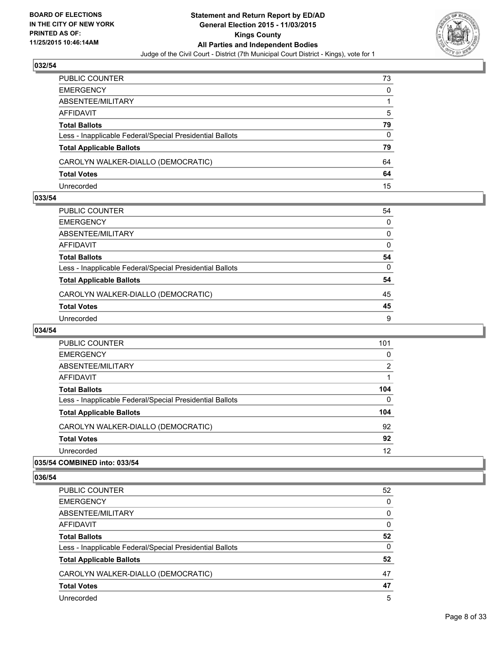

| PUBLIC COUNTER                                           | 73 |
|----------------------------------------------------------|----|
| EMERGENCY                                                | 0  |
| ABSENTEE/MILITARY                                        |    |
| AFFIDAVIT                                                | 5  |
| Total Ballots                                            | 79 |
| Less - Inapplicable Federal/Special Presidential Ballots | 0  |
| <b>Total Applicable Ballots</b>                          | 79 |
| CAROLYN WALKER-DIALLO (DEMOCRATIC)                       | 64 |
| <b>Total Votes</b>                                       | 64 |
| Unrecorded                                               | 15 |

## **033/54**

| PUBLIC COUNTER                                           | 54 |
|----------------------------------------------------------|----|
| EMERGENCY                                                | 0  |
| ABSENTEE/MILITARY                                        | 0  |
| AFFIDAVIT                                                | 0  |
| Total Ballots                                            | 54 |
| Less - Inapplicable Federal/Special Presidential Ballots | 0  |
| <b>Total Applicable Ballots</b>                          | 54 |
| CAROLYN WALKER-DIALLO (DEMOCRATIC)                       | 45 |
| <b>Total Votes</b>                                       | 45 |
| Unrecorded                                               | 9  |
|                                                          |    |

## **034/54**

| PUBLIC COUNTER                                           | 101      |
|----------------------------------------------------------|----------|
| <b>EMERGENCY</b>                                         | 0        |
| ABSENTEE/MILITARY                                        | 2        |
| AFFIDAVIT                                                |          |
| <b>Total Ballots</b>                                     | 104      |
| Less - Inapplicable Federal/Special Presidential Ballots | $\Omega$ |
| <b>Total Applicable Ballots</b>                          | 104      |
| CAROLYN WALKER-DIALLO (DEMOCRATIC)                       | 92       |
| <b>Total Votes</b>                                       | 92       |
| Unrecorded                                               | 12       |
|                                                          |          |

## **035/54 COMBINED into: 033/54**

| PUBLIC COUNTER                                           | 52 |
|----------------------------------------------------------|----|
| <b>EMERGENCY</b>                                         | 0  |
| ABSENTEE/MILITARY                                        | 0  |
| <b>AFFIDAVIT</b>                                         | 0  |
| <b>Total Ballots</b>                                     | 52 |
| Less - Inapplicable Federal/Special Presidential Ballots | 0  |
| <b>Total Applicable Ballots</b>                          | 52 |
| CAROLYN WALKER-DIALLO (DEMOCRATIC)                       | 47 |
| <b>Total Votes</b>                                       | 47 |
| Unrecorded                                               | 5  |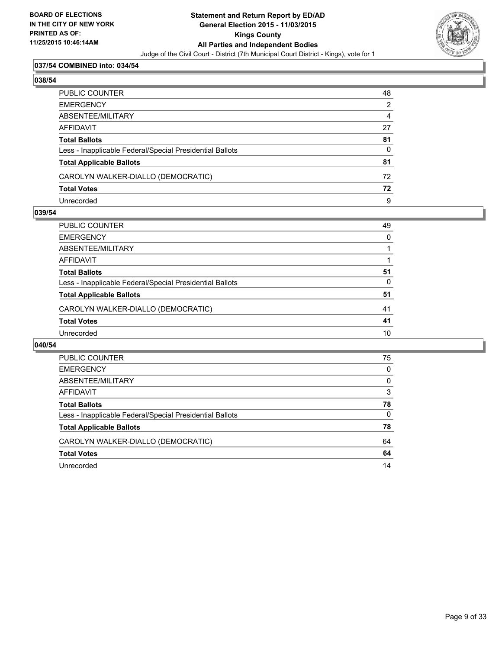

## **037/54 COMBINED into: 034/54**

## **038/54**

| PUBLIC COUNTER                                           | 48 |
|----------------------------------------------------------|----|
| EMERGENCY                                                | 2  |
| ABSENTEE/MILITARY                                        | 4  |
| AFFIDAVIT                                                | 27 |
| Total Ballots                                            | 81 |
| Less - Inapplicable Federal/Special Presidential Ballots | 0  |
| <b>Total Applicable Ballots</b>                          | 81 |
| CAROLYN WALKER-DIALLO (DEMOCRATIC)                       | 72 |
| <b>Total Votes</b>                                       | 72 |
| Unrecorded                                               | 9  |

#### **039/54**

| PUBLIC COUNTER                                           | 49 |
|----------------------------------------------------------|----|
| <b>EMERGENCY</b>                                         | 0  |
| ABSENTEE/MILITARY                                        |    |
| <b>AFFIDAVIT</b>                                         |    |
| <b>Total Ballots</b>                                     | 51 |
| Less - Inapplicable Federal/Special Presidential Ballots | 0  |
| <b>Total Applicable Ballots</b>                          | 51 |
| CAROLYN WALKER-DIALLO (DEMOCRATIC)                       | 41 |
| <b>Total Votes</b>                                       | 41 |
| Unrecorded                                               | 10 |
|                                                          |    |

| PUBLIC COUNTER                                           | 75 |
|----------------------------------------------------------|----|
|                                                          |    |
| <b>EMERGENCY</b>                                         | 0  |
| ABSENTEE/MILITARY                                        | 0  |
| AFFIDAVIT                                                | 3  |
| <b>Total Ballots</b>                                     | 78 |
| Less - Inapplicable Federal/Special Presidential Ballots | 0  |
| <b>Total Applicable Ballots</b>                          | 78 |
| CAROLYN WALKER-DIALLO (DEMOCRATIC)                       | 64 |
| <b>Total Votes</b>                                       | 64 |
| Unrecorded                                               | 14 |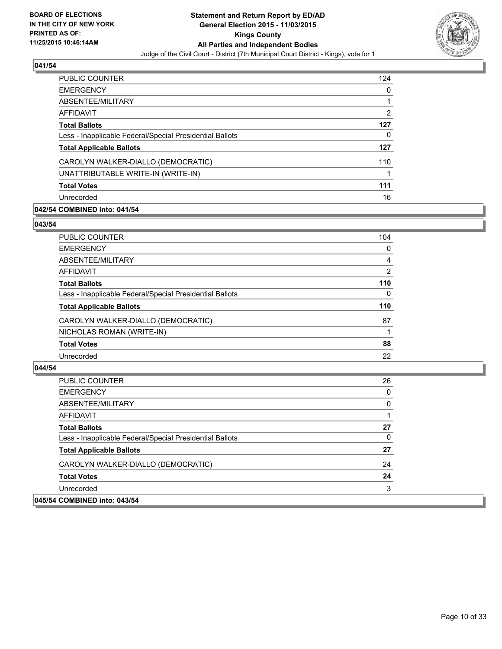

| <b>PUBLIC COUNTER</b>                                    | 124 |
|----------------------------------------------------------|-----|
| <b>EMERGENCY</b>                                         | 0   |
| ABSENTEE/MILITARY                                        |     |
| <b>AFFIDAVIT</b>                                         | 2   |
| <b>Total Ballots</b>                                     | 127 |
| Less - Inapplicable Federal/Special Presidential Ballots | 0   |
| <b>Total Applicable Ballots</b>                          | 127 |
| CAROLYN WALKER-DIALLO (DEMOCRATIC)                       | 110 |
| UNATTRIBUTABLE WRITE-IN (WRITE-IN)                       |     |
| <b>Total Votes</b>                                       | 111 |
| Unrecorded                                               | 16  |

## **042/54 COMBINED into: 041/54**

#### **043/54**

| <b>PUBLIC COUNTER</b>                                    | 104            |
|----------------------------------------------------------|----------------|
| <b>EMERGENCY</b>                                         | $\Omega$       |
| ABSENTEE/MILITARY                                        | 4              |
| <b>AFFIDAVIT</b>                                         | $\overline{2}$ |
| <b>Total Ballots</b>                                     | 110            |
| Less - Inapplicable Federal/Special Presidential Ballots | $\Omega$       |
| <b>Total Applicable Ballots</b>                          | 110            |
| CAROLYN WALKER-DIALLO (DEMOCRATIC)                       | 87             |
| NICHOLAS ROMAN (WRITE-IN)                                |                |
| <b>Total Votes</b>                                       | 88             |
| Unrecorded                                               | 22             |
|                                                          |                |

| <b>PUBLIC COUNTER</b>                                    | 26 |
|----------------------------------------------------------|----|
| <b>EMERGENCY</b>                                         | 0  |
| ABSENTEE/MILITARY                                        | 0  |
| AFFIDAVIT                                                |    |
| <b>Total Ballots</b>                                     | 27 |
| Less - Inapplicable Federal/Special Presidential Ballots | 0  |
| <b>Total Applicable Ballots</b>                          | 27 |
| CAROLYN WALKER-DIALLO (DEMOCRATIC)                       | 24 |
| <b>Total Votes</b>                                       | 24 |
| Unrecorded                                               | 3  |
| 045/54 COMBINED into: 043/54                             |    |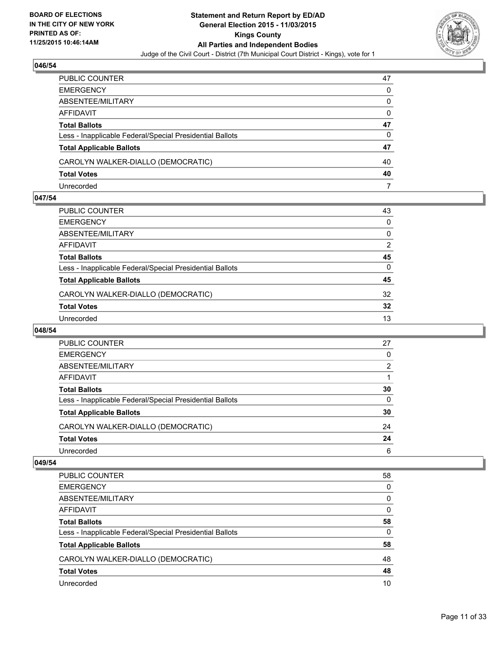

| PUBLIC COUNTER                                           | 47 |
|----------------------------------------------------------|----|
| EMERGENCY                                                | 0  |
| ABSENTEE/MILITARY                                        | 0  |
| AFFIDAVIT                                                | 0  |
| Total Ballots                                            | 47 |
| Less - Inapplicable Federal/Special Presidential Ballots | 0  |
| <b>Total Applicable Ballots</b>                          | 47 |
| CAROLYN WALKER-DIALLO (DEMOCRATIC)                       | 40 |
| <b>Total Votes</b>                                       | 40 |
| Unrecorded                                               |    |

## **047/54**

| PUBLIC COUNTER                                           | 43           |
|----------------------------------------------------------|--------------|
| EMERGENCY                                                | $\Omega$     |
| ABSENTEE/MILITARY                                        | 0            |
| AFFIDAVIT                                                | 2            |
| Total Ballots                                            | 45           |
| Less - Inapplicable Federal/Special Presidential Ballots | $\mathbf{0}$ |
| <b>Total Applicable Ballots</b>                          | 45           |
| CAROLYN WALKER-DIALLO (DEMOCRATIC)                       | 32           |
| <b>Total Votes</b>                                       | 32           |
| Unrecorded                                               | 13           |
|                                                          |              |

#### **048/54**

| PUBLIC COUNTER                                           | 27 |
|----------------------------------------------------------|----|
| <b>EMERGENCY</b>                                         | 0  |
| ABSENTEE/MILITARY                                        | 2  |
| AFFIDAVIT                                                |    |
| <b>Total Ballots</b>                                     | 30 |
| Less - Inapplicable Federal/Special Presidential Ballots | 0  |
| <b>Total Applicable Ballots</b>                          | 30 |
| CAROLYN WALKER-DIALLO (DEMOCRATIC)                       | 24 |
| <b>Total Votes</b>                                       | 24 |
| Unrecorded                                               | 6  |
|                                                          |    |

| <b>PUBLIC COUNTER</b>                                    | 58 |
|----------------------------------------------------------|----|
| <b>EMERGENCY</b>                                         | 0  |
| ABSENTEE/MILITARY                                        | 0  |
| <b>AFFIDAVIT</b>                                         | 0  |
| <b>Total Ballots</b>                                     | 58 |
| Less - Inapplicable Federal/Special Presidential Ballots | 0  |
| <b>Total Applicable Ballots</b>                          | 58 |
| CAROLYN WALKER-DIALLO (DEMOCRATIC)                       | 48 |
| <b>Total Votes</b>                                       | 48 |
| Unrecorded                                               | 10 |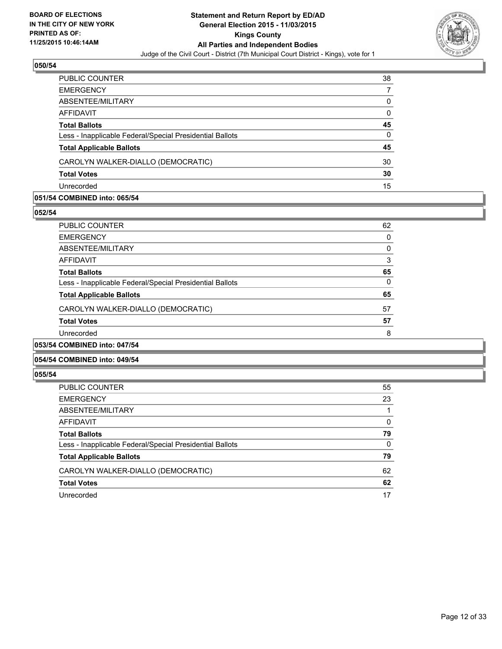

| PUBLIC COUNTER                                           | 38 |
|----------------------------------------------------------|----|
| <b>EMERGENCY</b>                                         |    |
| ABSENTEE/MILITARY                                        | 0  |
| <b>AFFIDAVIT</b>                                         | 0  |
| <b>Total Ballots</b>                                     | 45 |
| Less - Inapplicable Federal/Special Presidential Ballots | 0  |
| <b>Total Applicable Ballots</b>                          | 45 |
| CAROLYN WALKER-DIALLO (DEMOCRATIC)                       | 30 |
| <b>Total Votes</b>                                       | 30 |
| Unrecorded                                               | 15 |

## **051/54 COMBINED into: 065/54**

**052/54** 

| <b>PUBLIC COUNTER</b>                                    | 62       |
|----------------------------------------------------------|----------|
| <b>EMERGENCY</b>                                         | 0        |
| ABSENTEE/MILITARY                                        | 0        |
| <b>AFFIDAVIT</b>                                         | 3        |
| <b>Total Ballots</b>                                     | 65       |
| Less - Inapplicable Federal/Special Presidential Ballots | $\Omega$ |
| <b>Total Applicable Ballots</b>                          | 65       |
| CAROLYN WALKER-DIALLO (DEMOCRATIC)                       | 57       |
| <b>Total Votes</b>                                       | 57       |
| Unrecorded                                               | 8        |
| 053/54 COMBINED into: 047/54                             |          |

## **054/54 COMBINED into: 049/54**

| <b>PUBLIC COUNTER</b>                                    | 55       |
|----------------------------------------------------------|----------|
| <b>EMERGENCY</b>                                         | 23       |
| ABSENTEE/MILITARY                                        |          |
| AFFIDAVIT                                                | 0        |
| <b>Total Ballots</b>                                     | 79       |
| Less - Inapplicable Federal/Special Presidential Ballots | $\Omega$ |
| <b>Total Applicable Ballots</b>                          | 79       |
| CAROLYN WALKER-DIALLO (DEMOCRATIC)                       | 62       |
| <b>Total Votes</b>                                       | 62       |
| Unrecorded                                               | 17       |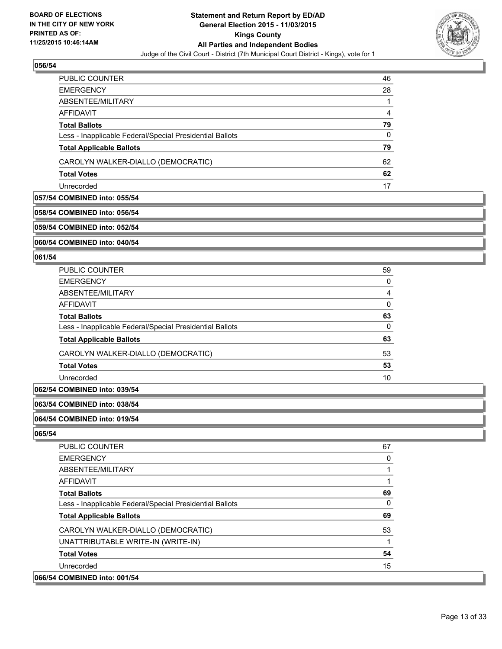

| <b>PUBLIC COUNTER</b>                                    | 46 |
|----------------------------------------------------------|----|
| <b>EMERGENCY</b>                                         | 28 |
| ABSENTEE/MILITARY                                        |    |
| AFFIDAVIT                                                | 4  |
| <b>Total Ballots</b>                                     | 79 |
| Less - Inapplicable Federal/Special Presidential Ballots | 0  |
| <b>Total Applicable Ballots</b>                          | 79 |
| CAROLYN WALKER-DIALLO (DEMOCRATIC)                       | 62 |
| <b>Total Votes</b>                                       | 62 |
| Unrecorded                                               | 17 |

## **057/54 COMBINED into: 055/54**

## **058/54 COMBINED into: 056/54**

**059/54 COMBINED into: 052/54**

**060/54 COMBINED into: 040/54**

#### **061/54**

| PUBLIC COUNTER                                           | 59 |
|----------------------------------------------------------|----|
| <b>EMERGENCY</b>                                         | 0  |
| ABSENTEE/MILITARY                                        | 4  |
| <b>AFFIDAVIT</b>                                         | 0  |
| <b>Total Ballots</b>                                     | 63 |
| Less - Inapplicable Federal/Special Presidential Ballots | 0  |
| <b>Total Applicable Ballots</b>                          | 63 |
| CAROLYN WALKER-DIALLO (DEMOCRATIC)                       | 53 |
| <b>Total Votes</b>                                       | 53 |
| Unrecorded                                               | 10 |
|                                                          |    |

## **062/54 COMBINED into: 039/54**

#### **063/54 COMBINED into: 038/54**

#### **064/54 COMBINED into: 019/54**

| <b>PUBLIC COUNTER</b>                                    | 67 |
|----------------------------------------------------------|----|
| <b>EMERGENCY</b>                                         | 0  |
| ABSENTEE/MILITARY                                        |    |
| AFFIDAVIT                                                |    |
| <b>Total Ballots</b>                                     | 69 |
| Less - Inapplicable Federal/Special Presidential Ballots | 0  |
| <b>Total Applicable Ballots</b>                          | 69 |
| CAROLYN WALKER-DIALLO (DEMOCRATIC)                       | 53 |
| UNATTRIBUTABLE WRITE-IN (WRITE-IN)                       |    |
| <b>Total Votes</b>                                       | 54 |
| Unrecorded                                               | 15 |
| 066/54 COMBINED into: 001/54                             |    |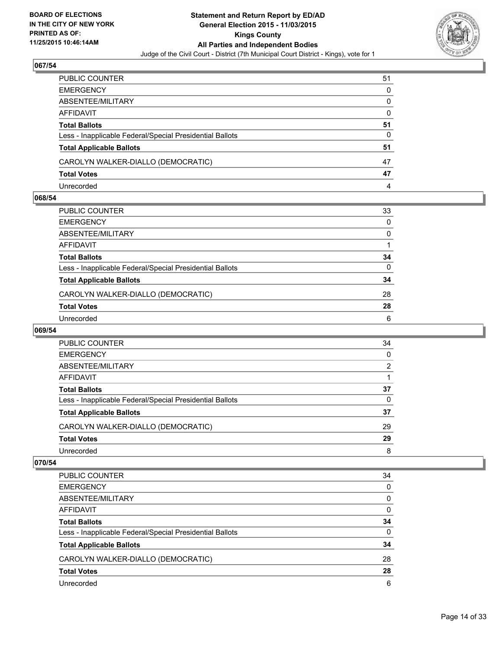

| PUBLIC COUNTER                                           | 51 |
|----------------------------------------------------------|----|
| EMERGENCY                                                | 0  |
| ABSENTEE/MILITARY                                        | 0  |
| AFFIDAVIT                                                | 0  |
| Total Ballots                                            | 51 |
| Less - Inapplicable Federal/Special Presidential Ballots | 0  |
| <b>Total Applicable Ballots</b>                          | 51 |
| CAROLYN WALKER-DIALLO (DEMOCRATIC)                       | 47 |
| <b>Total Votes</b>                                       | 47 |
| Unrecorded                                               | 4  |

## **068/54**

| PUBLIC COUNTER                                           | 33           |
|----------------------------------------------------------|--------------|
| EMERGENCY                                                | 0            |
| ABSENTEE/MILITARY                                        | 0            |
| AFFIDAVIT                                                | 1            |
| Total Ballots                                            | 34           |
| Less - Inapplicable Federal/Special Presidential Ballots | $\mathbf{0}$ |
| <b>Total Applicable Ballots</b>                          | 34           |
| CAROLYN WALKER-DIALLO (DEMOCRATIC)                       | 28           |
| <b>Total Votes</b>                                       | 28           |
| Unrecorded                                               | 6            |
|                                                          |              |

#### **069/54**

| <b>PUBLIC COUNTER</b>                                    | 34             |
|----------------------------------------------------------|----------------|
| <b>EMERGENCY</b>                                         | 0              |
| ABSENTEE/MILITARY                                        | $\overline{2}$ |
| AFFIDAVIT                                                |                |
| <b>Total Ballots</b>                                     | 37             |
| Less - Inapplicable Federal/Special Presidential Ballots | $\Omega$       |
| <b>Total Applicable Ballots</b>                          | 37             |
| CAROLYN WALKER-DIALLO (DEMOCRATIC)                       | 29             |
| <b>Total Votes</b>                                       | 29             |
| Unrecorded                                               | 8              |
|                                                          |                |

| PUBLIC COUNTER                                           | 34 |
|----------------------------------------------------------|----|
| <b>EMERGENCY</b>                                         | 0  |
| ABSENTEE/MILITARY                                        | 0  |
| <b>AFFIDAVIT</b>                                         | 0  |
| <b>Total Ballots</b>                                     | 34 |
| Less - Inapplicable Federal/Special Presidential Ballots | 0  |
| <b>Total Applicable Ballots</b>                          | 34 |
| CAROLYN WALKER-DIALLO (DEMOCRATIC)                       | 28 |
| <b>Total Votes</b>                                       | 28 |
| Unrecorded                                               | 6  |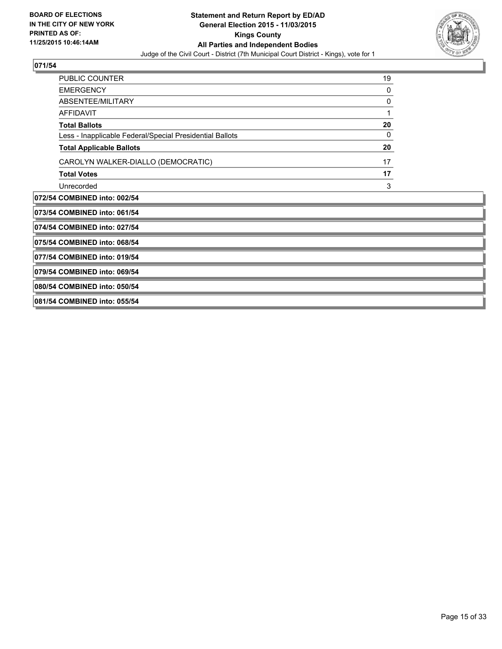

| PUBLIC COUNTER                                           | 19 |  |
|----------------------------------------------------------|----|--|
| <b>EMERGENCY</b>                                         | 0  |  |
| <b>ABSENTEE/MILITARY</b>                                 | 0  |  |
| <b>AFFIDAVIT</b>                                         | 1  |  |
| <b>Total Ballots</b>                                     | 20 |  |
| Less - Inapplicable Federal/Special Presidential Ballots | 0  |  |
| <b>Total Applicable Ballots</b>                          | 20 |  |
| CAROLYN WALKER-DIALLO (DEMOCRATIC)                       | 17 |  |
| <b>Total Votes</b>                                       | 17 |  |
| Unrecorded                                               | 3  |  |
| 072/54 COMBINED into: 002/54                             |    |  |
| 073/54 COMBINED into: 061/54                             |    |  |
| 074/54 COMBINED into: 027/54                             |    |  |
| 075/54 COMBINED into: 068/54                             |    |  |
| 077/54 COMBINED into: 019/54                             |    |  |
| 079/54 COMBINED into: 069/54                             |    |  |
| 080/54 COMBINED into: 050/54                             |    |  |
|                                                          |    |  |
| 081/54 COMBINED into: 055/54                             |    |  |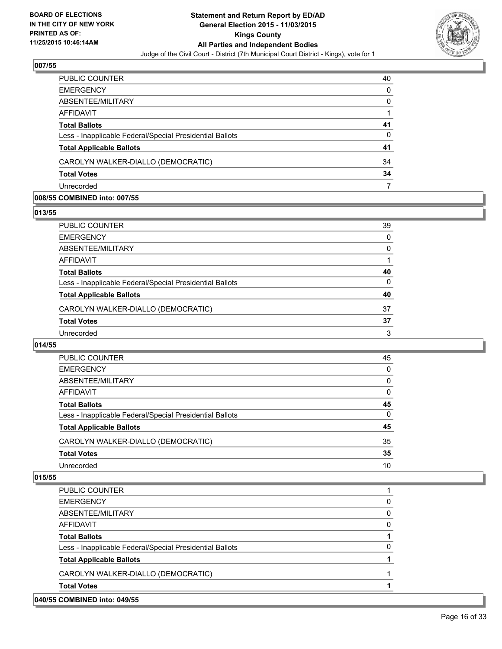

| PUBLIC COUNTER                                           | 40 |
|----------------------------------------------------------|----|
| <b>EMERGENCY</b>                                         | 0  |
| ABSENTEE/MILITARY                                        | 0  |
| <b>AFFIDAVIT</b>                                         |    |
| <b>Total Ballots</b>                                     | 41 |
| Less - Inapplicable Federal/Special Presidential Ballots | 0  |
| <b>Total Applicable Ballots</b>                          | 41 |
| CAROLYN WALKER-DIALLO (DEMOCRATIC)                       | 34 |
| <b>Total Votes</b>                                       | 34 |
| Unrecorded                                               |    |

#### **008/55 COMBINED into: 007/55**

**013/55** 

| PUBLIC COUNTER                                           | 39 |
|----------------------------------------------------------|----|
| <b>EMERGENCY</b>                                         | 0  |
| ABSENTEE/MILITARY                                        | 0  |
| AFFIDAVIT                                                |    |
| <b>Total Ballots</b>                                     | 40 |
| Less - Inapplicable Federal/Special Presidential Ballots | 0  |
| <b>Total Applicable Ballots</b>                          | 40 |
| CAROLYN WALKER-DIALLO (DEMOCRATIC)                       | 37 |
| <b>Total Votes</b>                                       | 37 |
| Unrecorded                                               | 3  |
|                                                          |    |

## **014/55**

| PUBLIC COUNTER                                           | 45 |
|----------------------------------------------------------|----|
| <b>EMERGENCY</b>                                         | 0  |
| ABSENTEE/MILITARY                                        | 0  |
| AFFIDAVIT                                                | 0  |
| <b>Total Ballots</b>                                     | 45 |
| Less - Inapplicable Federal/Special Presidential Ballots | 0  |
| <b>Total Applicable Ballots</b>                          | 45 |
| CAROLYN WALKER-DIALLO (DEMOCRATIC)                       | 35 |
| <b>Total Votes</b>                                       | 35 |
| Unrecorded                                               | 10 |

| 040/55 COMBINED into: 049/55                             |   |
|----------------------------------------------------------|---|
| <b>Total Votes</b>                                       |   |
| CAROLYN WALKER-DIALLO (DEMOCRATIC)                       |   |
| <b>Total Applicable Ballots</b>                          |   |
| Less - Inapplicable Federal/Special Presidential Ballots | 0 |
| <b>Total Ballots</b>                                     |   |
| AFFIDAVIT                                                | 0 |
| ABSENTEE/MILITARY                                        | 0 |
| <b>EMERGENCY</b>                                         | 0 |
| <b>PUBLIC COUNTER</b>                                    |   |
|                                                          |   |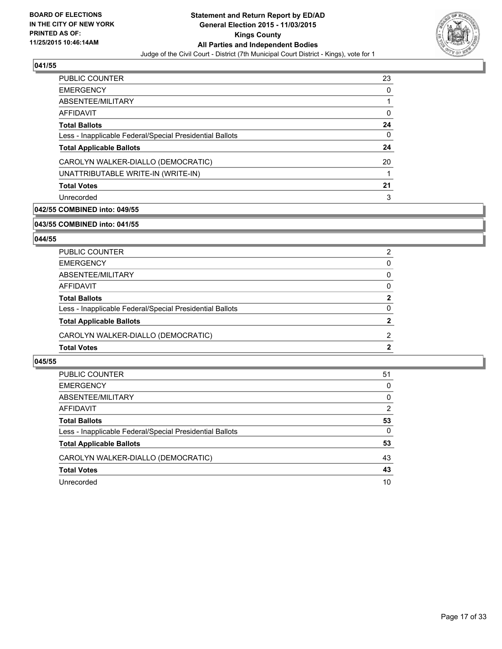

| 23           |
|--------------|
| <sup>0</sup> |
|              |
| 0            |
| 24           |
| 0            |
| 24           |
| 20           |
|              |
| 21           |
| 3            |
|              |

## **042/55 COMBINED into: 049/55**

#### **043/55 COMBINED into: 041/55**

## **044/55**

| <b>Total Votes</b>                                       | 2            |
|----------------------------------------------------------|--------------|
| CAROLYN WALKER-DIALLO (DEMOCRATIC)                       | 2            |
| <b>Total Applicable Ballots</b>                          | 2            |
| Less - Inapplicable Federal/Special Presidential Ballots | $\Omega$     |
| <b>Total Ballots</b>                                     | $\mathbf{2}$ |
| <b>AFFIDAVIT</b>                                         | 0            |
| ABSENTEE/MILITARY                                        | 0            |
| <b>EMERGENCY</b>                                         | 0            |
| PUBLIC COUNTER                                           | 2            |

| PUBLIC COUNTER                                           | 51 |
|----------------------------------------------------------|----|
| <b>EMERGENCY</b>                                         | 0  |
| ABSENTEE/MILITARY                                        | 0  |
| AFFIDAVIT                                                | 2  |
| <b>Total Ballots</b>                                     | 53 |
| Less - Inapplicable Federal/Special Presidential Ballots | 0  |
| <b>Total Applicable Ballots</b>                          | 53 |
| CAROLYN WALKER-DIALLO (DEMOCRATIC)                       | 43 |
| <b>Total Votes</b>                                       | 43 |
| Unrecorded                                               | 10 |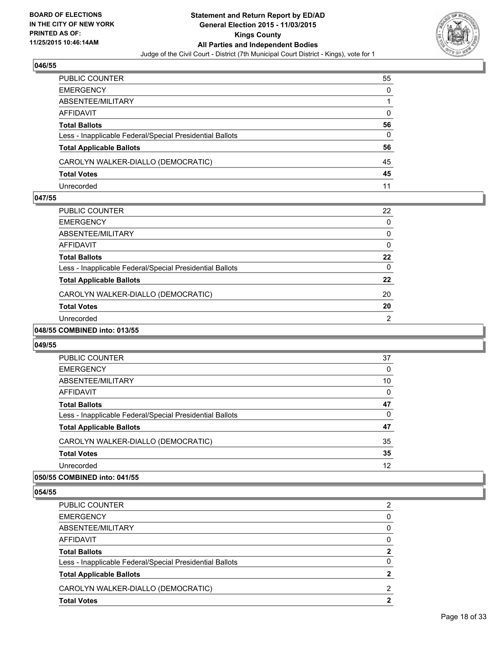

| PUBLIC COUNTER                                           | 55 |
|----------------------------------------------------------|----|
| EMERGENCY                                                | 0  |
| ABSENTEE/MILITARY                                        |    |
| AFFIDAVIT                                                | 0  |
| Total Ballots                                            | 56 |
| Less - Inapplicable Federal/Special Presidential Ballots | 0  |
| <b>Total Applicable Ballots</b>                          | 56 |
| CAROLYN WALKER-DIALLO (DEMOCRATIC)                       | 45 |
| <b>Total Votes</b>                                       | 45 |
| Unrecorded                                               | 11 |

#### **047/55**

| <b>PUBLIC COUNTER</b>                                    | 22 |
|----------------------------------------------------------|----|
| <b>EMERGENCY</b>                                         | 0  |
| ABSENTEE/MILITARY                                        | 0  |
| <b>AFFIDAVIT</b>                                         | 0  |
| <b>Total Ballots</b>                                     | 22 |
| Less - Inapplicable Federal/Special Presidential Ballots | 0  |
| <b>Total Applicable Ballots</b>                          | 22 |
| CAROLYN WALKER-DIALLO (DEMOCRATIC)                       | 20 |
| <b>Total Votes</b>                                       | 20 |
| Unrecorded                                               | 2  |
| COMPINIED into 042/EE                                    |    |

# **048/55 COMBINED into: 013/55**

#### **049/55**

| <b>PUBLIC COUNTER</b>                                    | 37 |
|----------------------------------------------------------|----|
| <b>EMERGENCY</b>                                         | 0  |
| ABSENTEE/MILITARY                                        | 10 |
| AFFIDAVIT                                                | 0  |
| <b>Total Ballots</b>                                     | 47 |
| Less - Inapplicable Federal/Special Presidential Ballots | 0  |
| <b>Total Applicable Ballots</b>                          | 47 |
| CAROLYN WALKER-DIALLO (DEMOCRATIC)                       | 35 |
| <b>Total Votes</b>                                       | 35 |
| Unrecorded                                               | 12 |

## **050/55 COMBINED into: 041/55**

| PUBLIC COUNTER                                           | 2 |
|----------------------------------------------------------|---|
| <b>EMERGENCY</b>                                         | 0 |
| ABSENTEE/MILITARY                                        | 0 |
| AFFIDAVIT                                                | 0 |
| <b>Total Ballots</b>                                     | 2 |
| Less - Inapplicable Federal/Special Presidential Ballots | 0 |
| <b>Total Applicable Ballots</b>                          | 2 |
| CAROLYN WALKER-DIALLO (DEMOCRATIC)                       | 2 |
| <b>Total Votes</b>                                       | 2 |
|                                                          |   |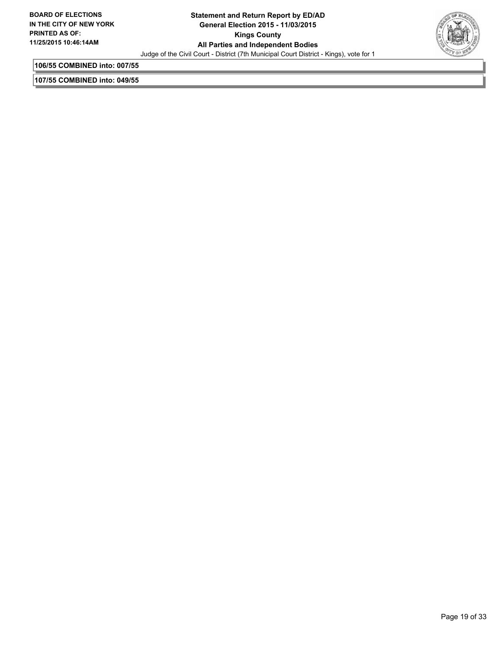

**106/55 COMBINED into: 007/55**

**107/55 COMBINED into: 049/55**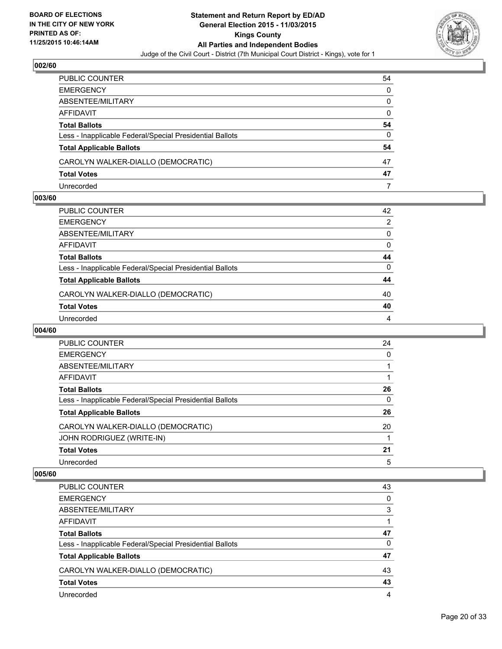

| PUBLIC COUNTER                                           | 54           |
|----------------------------------------------------------|--------------|
| EMERGENCY                                                | 0            |
| ABSENTEE/MILITARY                                        | $\mathbf{0}$ |
| AFFIDAVIT                                                | 0            |
| Total Ballots                                            | 54           |
| Less - Inapplicable Federal/Special Presidential Ballots | 0            |
| <b>Total Applicable Ballots</b>                          | 54           |
| CAROLYN WALKER-DIALLO (DEMOCRATIC)                       | 47           |
| <b>Total Votes</b>                                       | 47           |
| Unrecorded                                               |              |

## **003/60**

| PUBLIC COUNTER                                           | 42 |
|----------------------------------------------------------|----|
| EMERGENCY                                                | 2  |
| ABSENTEE/MILITARY                                        | 0  |
| AFFIDAVIT                                                | 0  |
| Total Ballots                                            | 44 |
| Less - Inapplicable Federal/Special Presidential Ballots | 0  |
| <b>Total Applicable Ballots</b>                          | 44 |
| CAROLYN WALKER-DIALLO (DEMOCRATIC)                       | 40 |
| <b>Total Votes</b>                                       | 40 |
| Unrecorded                                               | 4  |
|                                                          |    |

## **004/60**

| <b>PUBLIC COUNTER</b>                                    | 24 |
|----------------------------------------------------------|----|
| <b>EMERGENCY</b>                                         | 0  |
| ABSENTEE/MILITARY                                        |    |
| AFFIDAVIT                                                |    |
| <b>Total Ballots</b>                                     | 26 |
| Less - Inapplicable Federal/Special Presidential Ballots | 0  |
| <b>Total Applicable Ballots</b>                          | 26 |
| CAROLYN WALKER-DIALLO (DEMOCRATIC)                       | 20 |
| JOHN RODRIGUEZ (WRITE-IN)                                |    |
| <b>Total Votes</b>                                       | 21 |
| Unrecorded                                               | 5  |

| PUBLIC COUNTER                                           | 43 |
|----------------------------------------------------------|----|
| <b>EMERGENCY</b>                                         | 0  |
| ABSENTEE/MILITARY                                        | 3  |
| AFFIDAVIT                                                |    |
| <b>Total Ballots</b>                                     | 47 |
| Less - Inapplicable Federal/Special Presidential Ballots | 0  |
| <b>Total Applicable Ballots</b>                          | 47 |
| CAROLYN WALKER-DIALLO (DEMOCRATIC)                       | 43 |
| <b>Total Votes</b>                                       | 43 |
| Unrecorded                                               | 4  |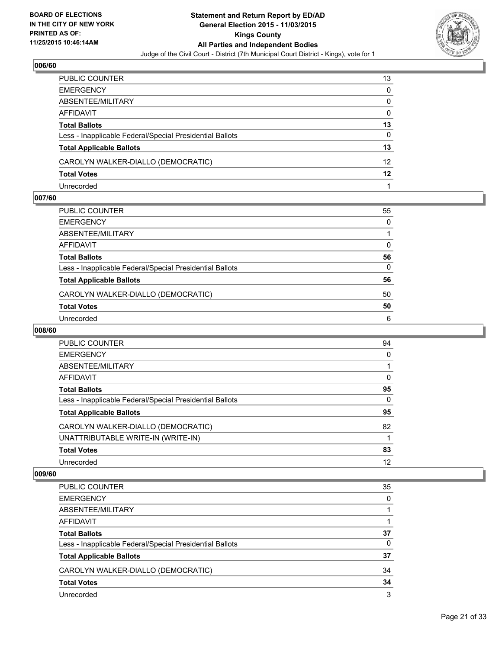

| PUBLIC COUNTER                                           | 13       |
|----------------------------------------------------------|----------|
| EMERGENCY                                                | 0        |
| ABSENTEE/MILITARY                                        | 0        |
| AFFIDAVIT                                                | $\Omega$ |
| <b>Total Ballots</b>                                     | 13       |
| Less - Inapplicable Federal/Special Presidential Ballots | 0        |
| <b>Total Applicable Ballots</b>                          | 13       |
| CAROLYN WALKER-DIALLO (DEMOCRATIC)                       | 12       |
| Total Votes                                              | 12       |
| Unrecorded                                               |          |

## **007/60**

| PUBLIC COUNTER                                           | 55       |
|----------------------------------------------------------|----------|
| EMERGENCY                                                | 0        |
| ABSENTEE/MILITARY                                        |          |
| AFFIDAVIT                                                | 0        |
| Total Ballots                                            | 56       |
| Less - Inapplicable Federal/Special Presidential Ballots | $\Omega$ |
| <b>Total Applicable Ballots</b>                          | 56       |
| CAROLYN WALKER-DIALLO (DEMOCRATIC)                       | 50       |
| <b>Total Votes</b>                                       | 50       |
| Unrecorded                                               | 6        |
|                                                          |          |

## **008/60**

| <b>PUBLIC COUNTER</b>                                    | 94       |
|----------------------------------------------------------|----------|
| <b>EMERGENCY</b>                                         | 0        |
| ABSENTEE/MILITARY                                        |          |
| AFFIDAVIT                                                | 0        |
| <b>Total Ballots</b>                                     | 95       |
| Less - Inapplicable Federal/Special Presidential Ballots | $\Omega$ |
| <b>Total Applicable Ballots</b>                          | 95       |
| CAROLYN WALKER-DIALLO (DEMOCRATIC)                       | 82       |
| UNATTRIBUTABLE WRITE-IN (WRITE-IN)                       |          |
| <b>Total Votes</b>                                       | 83       |
| Unrecorded                                               | 12       |

| <b>PUBLIC COUNTER</b>                                    | 35 |
|----------------------------------------------------------|----|
| <b>EMERGENCY</b>                                         | 0  |
| ABSENTEE/MILITARY                                        |    |
| AFFIDAVIT                                                |    |
| <b>Total Ballots</b>                                     | 37 |
| Less - Inapplicable Federal/Special Presidential Ballots | 0  |
| <b>Total Applicable Ballots</b>                          | 37 |
| CAROLYN WALKER-DIALLO (DEMOCRATIC)                       | 34 |
| <b>Total Votes</b>                                       | 34 |
| Unrecorded                                               | 3  |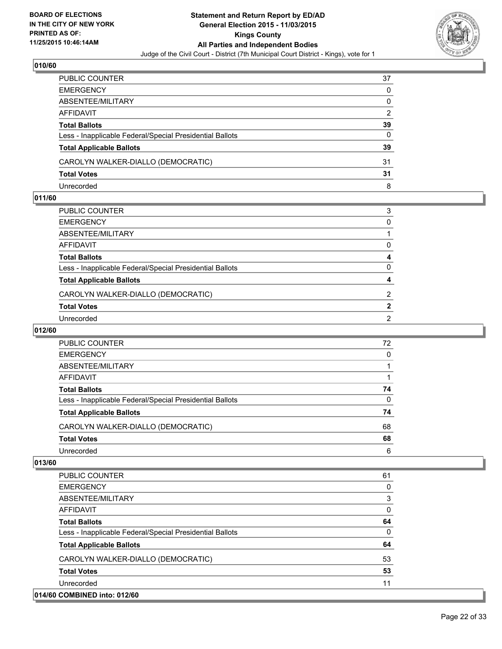

| PUBLIC COUNTER                                           | 37 |
|----------------------------------------------------------|----|
| <b>EMERGENCY</b>                                         | 0  |
| ABSENTEE/MILITARY                                        | 0  |
| AFFIDAVIT                                                | 2  |
| <b>Total Ballots</b>                                     | 39 |
| Less - Inapplicable Federal/Special Presidential Ballots | 0  |
| <b>Total Applicable Ballots</b>                          | 39 |
| CAROLYN WALKER-DIALLO (DEMOCRATIC)                       | 31 |
| <b>Total Votes</b>                                       | 31 |
| Unrecorded                                               | 8  |

## **011/60**

| PUBLIC COUNTER                                           | 3              |
|----------------------------------------------------------|----------------|
| EMERGENCY                                                | 0              |
| ABSENTEE/MILITARY                                        |                |
| AFFIDAVIT                                                | 0              |
| Total Ballots                                            | 4              |
| Less - Inapplicable Federal/Special Presidential Ballots | 0              |
| <b>Total Applicable Ballots</b>                          | 4              |
| CAROLYN WALKER-DIALLO (DEMOCRATIC)                       | 2              |
| <b>Total Votes</b>                                       | $\mathbf{2}$   |
| Unrecorded                                               | $\overline{2}$ |
|                                                          |                |

## **012/60**

| PUBLIC COUNTER                                           | 72       |
|----------------------------------------------------------|----------|
| <b>EMERGENCY</b>                                         | 0        |
| ABSENTEE/MILITARY                                        |          |
| AFFIDAVIT                                                |          |
| <b>Total Ballots</b>                                     | 74       |
| Less - Inapplicable Federal/Special Presidential Ballots | $\Omega$ |
| <b>Total Applicable Ballots</b>                          | 74       |
| CAROLYN WALKER-DIALLO (DEMOCRATIC)                       | 68       |
| <b>Total Votes</b>                                       | 68       |
| Unrecorded                                               | 6        |

| <b>PUBLIC COUNTER</b>                                    | 61           |
|----------------------------------------------------------|--------------|
| <b>EMERGENCY</b>                                         | 0            |
| ABSENTEE/MILITARY                                        | 3            |
| <b>AFFIDAVIT</b>                                         | $\mathbf{0}$ |
| <b>Total Ballots</b>                                     | 64           |
| Less - Inapplicable Federal/Special Presidential Ballots | $\Omega$     |
| <b>Total Applicable Ballots</b>                          | 64           |
| CAROLYN WALKER-DIALLO (DEMOCRATIC)                       | 53           |
| <b>Total Votes</b>                                       | 53           |
| Unrecorded                                               | 11           |
| 014/60 COMBINED into: 012/60                             |              |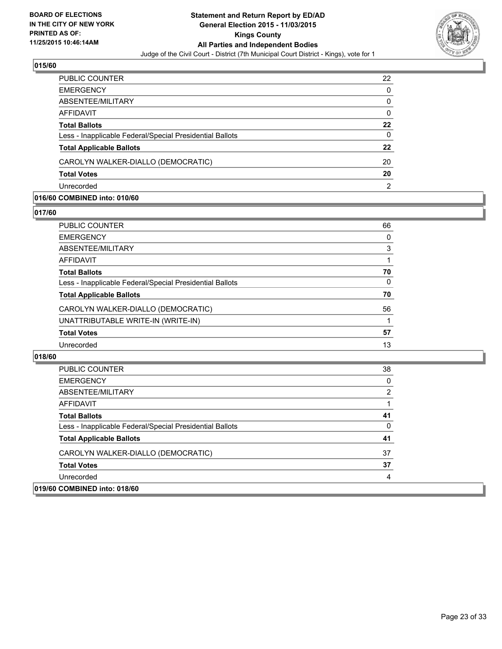

| <b>PUBLIC COUNTER</b>                                    | 22 |
|----------------------------------------------------------|----|
| <b>EMERGENCY</b>                                         | 0  |
| ABSENTEE/MILITARY                                        | 0  |
| AFFIDAVIT                                                | 0  |
| <b>Total Ballots</b>                                     | 22 |
| Less - Inapplicable Federal/Special Presidential Ballots | 0  |
| <b>Total Applicable Ballots</b>                          | 22 |
| CAROLYN WALKER-DIALLO (DEMOCRATIC)                       | 20 |
| <b>Total Votes</b>                                       | 20 |
| Unrecorded                                               | 2  |

#### **016/60 COMBINED into: 010/60**

**017/60** 

| PUBLIC COUNTER                                           | 66 |
|----------------------------------------------------------|----|
| EMERGENCY                                                | 0  |
| ABSENTEE/MILITARY                                        | 3  |
| AFFIDAVIT                                                | 1  |
| Total Ballots                                            | 70 |
| Less - Inapplicable Federal/Special Presidential Ballots | 0  |
| <b>Total Applicable Ballots</b>                          | 70 |
| CAROLYN WALKER-DIALLO (DEMOCRATIC)                       | 56 |
| UNATTRIBUTABLE WRITE-IN (WRITE-IN)                       |    |
| <b>Total Votes</b>                                       | 57 |
| Unrecorded                                               | 13 |
|                                                          |    |

| PUBLIC COUNTER                                           | 38 |
|----------------------------------------------------------|----|
| <b>EMERGENCY</b>                                         | 0  |
| ABSENTEE/MILITARY                                        | 2  |
| AFFIDAVIT                                                |    |
| <b>Total Ballots</b>                                     | 41 |
| Less - Inapplicable Federal/Special Presidential Ballots | 0  |
| <b>Total Applicable Ballots</b>                          | 41 |
| CAROLYN WALKER-DIALLO (DEMOCRATIC)                       | 37 |
| <b>Total Votes</b>                                       | 37 |
| Unrecorded                                               | 4  |
| 019/60 COMBINED into: 018/60                             |    |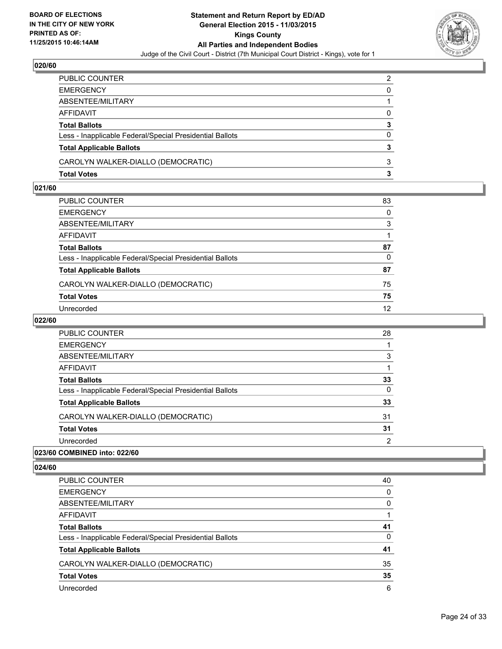

| PUBLIC COUNTER                                           | $\overline{2}$ |
|----------------------------------------------------------|----------------|
| EMERGENCY                                                | 0              |
| ABSENTEE/MILITARY                                        |                |
| AFFIDAVIT                                                | $\Omega$       |
| <b>Total Ballots</b>                                     | 3              |
| Less - Inapplicable Federal/Special Presidential Ballots | $\Omega$       |
| <b>Total Applicable Ballots</b>                          | 3              |
| CAROLYN WALKER-DIALLO (DEMOCRATIC)                       | 3              |
| Total Votes                                              | з              |

## **021/60**

| PUBLIC COUNTER                                           | 83 |
|----------------------------------------------------------|----|
| EMERGENCY                                                | 0  |
| ABSENTEE/MILITARY                                        | 3  |
| AFFIDAVIT                                                |    |
| Total Ballots                                            | 87 |
| Less - Inapplicable Federal/Special Presidential Ballots | 0  |
| <b>Total Applicable Ballots</b>                          | 87 |
| CAROLYN WALKER-DIALLO (DEMOCRATIC)                       | 75 |
| <b>Total Votes</b>                                       | 75 |
| Unrecorded                                               | 12 |
|                                                          |    |

## **022/60**

| 023/60 COMBINED into: 022/60                             |    |
|----------------------------------------------------------|----|
| Unrecorded                                               | 2  |
| <b>Total Votes</b>                                       | 31 |
| CAROLYN WALKER-DIALLO (DEMOCRATIC)                       | 31 |
| <b>Total Applicable Ballots</b>                          | 33 |
| Less - Inapplicable Federal/Special Presidential Ballots | 0  |
| <b>Total Ballots</b>                                     | 33 |
| AFFIDAVIT                                                |    |
| ABSENTEE/MILITARY                                        | 3  |
| <b>EMERGENCY</b>                                         |    |
| <b>PUBLIC COUNTER</b>                                    | 28 |

| PUBLIC COUNTER                                           | 40 |
|----------------------------------------------------------|----|
| <b>EMERGENCY</b>                                         | 0  |
| ABSENTEE/MILITARY                                        | 0  |
| AFFIDAVIT                                                |    |
| <b>Total Ballots</b>                                     | 41 |
| Less - Inapplicable Federal/Special Presidential Ballots | 0  |
| <b>Total Applicable Ballots</b>                          | 41 |
| CAROLYN WALKER-DIALLO (DEMOCRATIC)                       | 35 |
| <b>Total Votes</b>                                       | 35 |
| Unrecorded                                               | 6  |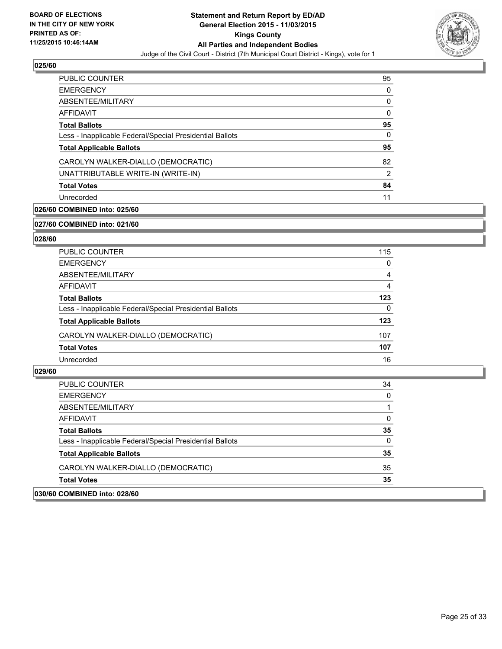

| PUBLIC COUNTER                                           | 95             |
|----------------------------------------------------------|----------------|
| <b>EMERGENCY</b>                                         | 0              |
| ABSENTEE/MILITARY                                        | 0              |
| AFFIDAVIT                                                | 0              |
| <b>Total Ballots</b>                                     | 95             |
| Less - Inapplicable Federal/Special Presidential Ballots | 0              |
| <b>Total Applicable Ballots</b>                          | 95             |
| CAROLYN WALKER-DIALLO (DEMOCRATIC)                       | 82             |
| UNATTRIBUTABLE WRITE-IN (WRITE-IN)                       | $\overline{2}$ |
| <b>Total Votes</b>                                       | 84             |
| Unrecorded                                               | 11             |

## **026/60 COMBINED into: 025/60**

#### **027/60 COMBINED into: 021/60**

## **028/60**

| PUBLIC COUNTER                                           | 115 |
|----------------------------------------------------------|-----|
| <b>EMERGENCY</b>                                         | 0   |
| ABSENTEE/MILITARY                                        | 4   |
| AFFIDAVIT                                                | 4   |
| <b>Total Ballots</b>                                     | 123 |
| Less - Inapplicable Federal/Special Presidential Ballots | 0   |
| <b>Total Applicable Ballots</b>                          | 123 |
| CAROLYN WALKER-DIALLO (DEMOCRATIC)                       | 107 |
| <b>Total Votes</b>                                       | 107 |
| Unrecorded                                               | 16  |

| 030/60 COMBINED into: 028/60                             |          |
|----------------------------------------------------------|----------|
| <b>Total Votes</b>                                       | 35       |
| CAROLYN WALKER-DIALLO (DEMOCRATIC)                       | 35       |
| <b>Total Applicable Ballots</b>                          | 35       |
| Less - Inapplicable Federal/Special Presidential Ballots | $\Omega$ |
| <b>Total Ballots</b>                                     | 35       |
| AFFIDAVIT                                                | $\Omega$ |
| ABSENTEE/MILITARY                                        |          |
| <b>EMERGENCY</b>                                         | $\Omega$ |
| PUBLIC COUNTER                                           | 34       |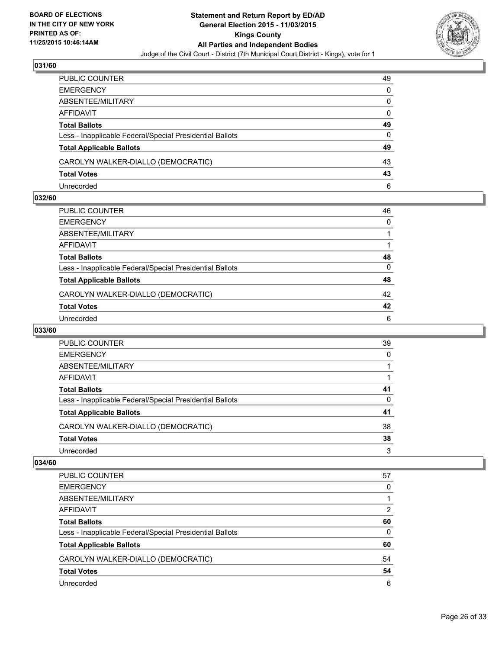

| PUBLIC COUNTER                                           | 49 |
|----------------------------------------------------------|----|
| <b>EMERGENCY</b>                                         | 0  |
| ABSENTEE/MILITARY                                        | 0  |
| AFFIDAVIT                                                | 0  |
| <b>Total Ballots</b>                                     | 49 |
| Less - Inapplicable Federal/Special Presidential Ballots | 0  |
| <b>Total Applicable Ballots</b>                          | 49 |
| CAROLYN WALKER-DIALLO (DEMOCRATIC)                       | 43 |
| <b>Total Votes</b>                                       | 43 |
| Unrecorded                                               | 6  |

## **032/60**

| PUBLIC COUNTER                                           | 46 |
|----------------------------------------------------------|----|
| EMERGENCY                                                | 0  |
| ABSENTEE/MILITARY                                        |    |
| AFFIDAVIT                                                |    |
| Total Ballots                                            | 48 |
| Less - Inapplicable Federal/Special Presidential Ballots | 0  |
| <b>Total Applicable Ballots</b>                          | 48 |
| CAROLYN WALKER-DIALLO (DEMOCRATIC)                       | 42 |
| <b>Total Votes</b>                                       | 42 |
| Unrecorded                                               | 6  |
|                                                          |    |

## **033/60**

| PUBLIC COUNTER                                           | 39 |
|----------------------------------------------------------|----|
| <b>EMERGENCY</b>                                         | 0  |
| ABSENTEE/MILITARY                                        |    |
| AFFIDAVIT                                                |    |
| <b>Total Ballots</b>                                     | 41 |
| Less - Inapplicable Federal/Special Presidential Ballots | 0  |
| <b>Total Applicable Ballots</b>                          | 41 |
| CAROLYN WALKER-DIALLO (DEMOCRATIC)                       | 38 |
| <b>Total Votes</b>                                       | 38 |
| Unrecorded                                               | 3  |
|                                                          |    |

| PUBLIC COUNTER                                           | 57 |
|----------------------------------------------------------|----|
| <b>EMERGENCY</b>                                         | 0  |
| ABSENTEE/MILITARY                                        |    |
| <b>AFFIDAVIT</b>                                         | 2  |
| <b>Total Ballots</b>                                     | 60 |
| Less - Inapplicable Federal/Special Presidential Ballots | 0  |
| <b>Total Applicable Ballots</b>                          | 60 |
| CAROLYN WALKER-DIALLO (DEMOCRATIC)                       | 54 |
| <b>Total Votes</b>                                       | 54 |
| Unrecorded                                               | 6  |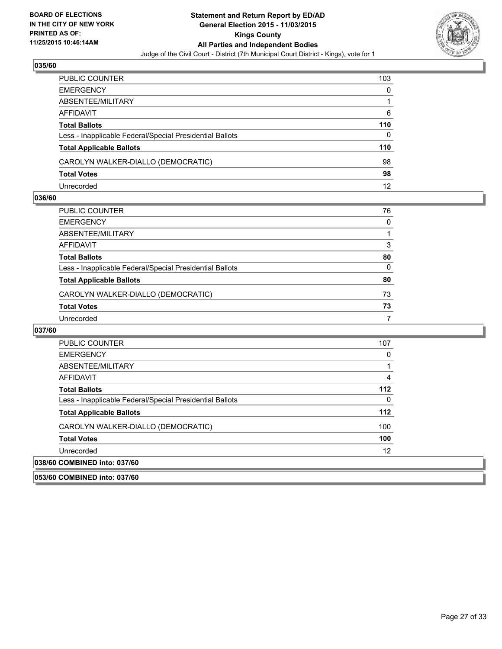

| PUBLIC COUNTER                                           | 103 |
|----------------------------------------------------------|-----|
| <b>EMERGENCY</b>                                         | 0   |
| ABSENTEE/MILITARY                                        |     |
| AFFIDAVIT                                                | 6   |
| <b>Total Ballots</b>                                     | 110 |
| Less - Inapplicable Federal/Special Presidential Ballots | 0   |
| <b>Total Applicable Ballots</b>                          | 110 |
| CAROLYN WALKER-DIALLO (DEMOCRATIC)                       | 98  |
| <b>Total Votes</b>                                       | 98  |
| Unrecorded                                               | 12  |

## **036/60**

| PUBLIC COUNTER                                           | 76 |
|----------------------------------------------------------|----|
| EMERGENCY                                                | 0  |
| ABSENTEE/MILITARY                                        |    |
| AFFIDAVIT                                                | 3  |
| Total Ballots                                            | 80 |
| Less - Inapplicable Federal/Special Presidential Ballots | 0  |
| <b>Total Applicable Ballots</b>                          | 80 |
| CAROLYN WALKER-DIALLO (DEMOCRATIC)                       | 73 |
| <b>Total Votes</b>                                       | 73 |
| Unrecorded                                               | 7  |

| <b>PUBLIC COUNTER</b>                                    | 107 |
|----------------------------------------------------------|-----|
| <b>EMERGENCY</b>                                         | 0   |
| ABSENTEE/MILITARY                                        |     |
| AFFIDAVIT                                                | 4   |
| <b>Total Ballots</b>                                     | 112 |
| Less - Inapplicable Federal/Special Presidential Ballots | 0   |
| <b>Total Applicable Ballots</b>                          | 112 |
| CAROLYN WALKER-DIALLO (DEMOCRATIC)                       | 100 |
| <b>Total Votes</b>                                       | 100 |
| Unrecorded                                               | 12  |
| 038/60 COMBINED into: 037/60                             |     |
| 053/60 COMBINED into: 037/60                             |     |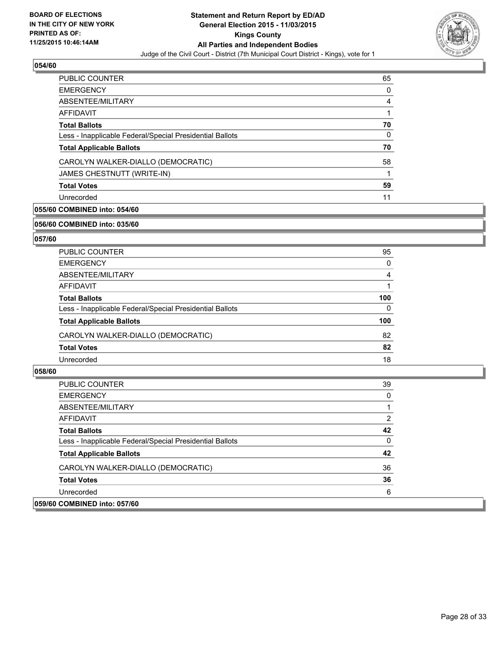

| PUBLIC COUNTER                                           | 65 |
|----------------------------------------------------------|----|
| <b>EMERGENCY</b>                                         | 0  |
| ABSENTEE/MILITARY                                        | 4  |
| AFFIDAVIT                                                |    |
| <b>Total Ballots</b>                                     | 70 |
| Less - Inapplicable Federal/Special Presidential Ballots | 0  |
| <b>Total Applicable Ballots</b>                          | 70 |
| CAROLYN WALKER-DIALLO (DEMOCRATIC)                       | 58 |
| JAMES CHESTNUTT (WRITE-IN)                               |    |
| <b>Total Votes</b>                                       | 59 |
| Unrecorded                                               | 11 |

## **055/60 COMBINED into: 054/60**

#### **056/60 COMBINED into: 035/60**

## **057/60**

| <b>PUBLIC COUNTER</b>                                    | 95  |
|----------------------------------------------------------|-----|
| <b>EMERGENCY</b>                                         | 0   |
| ABSENTEE/MILITARY                                        | 4   |
| AFFIDAVIT                                                |     |
| <b>Total Ballots</b>                                     | 100 |
| Less - Inapplicable Federal/Special Presidential Ballots | 0   |
| <b>Total Applicable Ballots</b>                          | 100 |
| CAROLYN WALKER-DIALLO (DEMOCRATIC)                       | 82  |
| <b>Total Votes</b>                                       | 82  |
| Unrecorded                                               | 18  |

| <b>PUBLIC COUNTER</b>                                    | 39       |
|----------------------------------------------------------|----------|
| <b>EMERGENCY</b>                                         | 0        |
| ABSENTEE/MILITARY                                        |          |
| AFFIDAVIT                                                | 2        |
| <b>Total Ballots</b>                                     | 42       |
| Less - Inapplicable Federal/Special Presidential Ballots | $\Omega$ |
| <b>Total Applicable Ballots</b>                          | 42       |
| CAROLYN WALKER-DIALLO (DEMOCRATIC)                       | 36       |
| <b>Total Votes</b>                                       | 36       |
| Unrecorded                                               | 6        |
| 059/60 COMBINED into: 057/60                             |          |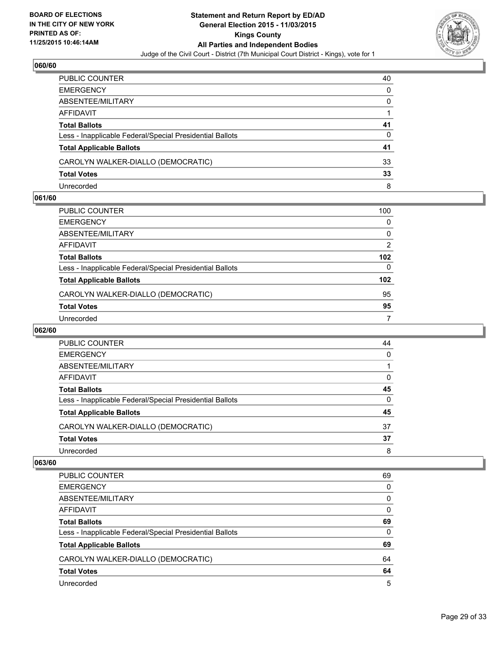

| PUBLIC COUNTER                                           | 40 |
|----------------------------------------------------------|----|
| EMERGENCY                                                | 0  |
| ABSENTEE/MILITARY                                        | 0  |
| AFFIDAVIT                                                |    |
| Total Ballots                                            | 41 |
| Less - Inapplicable Federal/Special Presidential Ballots | 0  |
| <b>Total Applicable Ballots</b>                          | 41 |
| CAROLYN WALKER-DIALLO (DEMOCRATIC)                       | 33 |
| <b>Total Votes</b>                                       | 33 |
| Unrecorded                                               | 8  |

#### **061/60**

| PUBLIC COUNTER                                           | 100              |
|----------------------------------------------------------|------------------|
| EMERGENCY                                                | 0                |
| ABSENTEE/MILITARY                                        | 0                |
| AFFIDAVIT                                                | 2                |
| Total Ballots                                            | 102              |
| Less - Inapplicable Federal/Special Presidential Ballots | 0                |
| <b>Total Applicable Ballots</b>                          | 102 <sub>2</sub> |
| CAROLYN WALKER-DIALLO (DEMOCRATIC)                       | 95               |
| <b>Total Votes</b>                                       | 95               |
| Unrecorded                                               | 7                |
|                                                          |                  |

#### **062/60**

| PUBLIC COUNTER                                           | 44       |
|----------------------------------------------------------|----------|
| <b>EMERGENCY</b>                                         | 0        |
| ABSENTEE/MILITARY                                        |          |
| AFFIDAVIT                                                | 0        |
| <b>Total Ballots</b>                                     | 45       |
| Less - Inapplicable Federal/Special Presidential Ballots | $\Omega$ |
| <b>Total Applicable Ballots</b>                          | 45       |
| CAROLYN WALKER-DIALLO (DEMOCRATIC)                       | 37       |
| <b>Total Votes</b>                                       | 37       |
| Unrecorded                                               | 8        |
|                                                          |          |

| PUBLIC COUNTER                                           | 69 |
|----------------------------------------------------------|----|
| <b>EMERGENCY</b>                                         | 0  |
| ABSENTEE/MILITARY                                        | 0  |
| AFFIDAVIT                                                | 0  |
| <b>Total Ballots</b>                                     | 69 |
| Less - Inapplicable Federal/Special Presidential Ballots | 0  |
| <b>Total Applicable Ballots</b>                          | 69 |
| CAROLYN WALKER-DIALLO (DEMOCRATIC)                       | 64 |
| <b>Total Votes</b>                                       | 64 |
| Unrecorded                                               | 5  |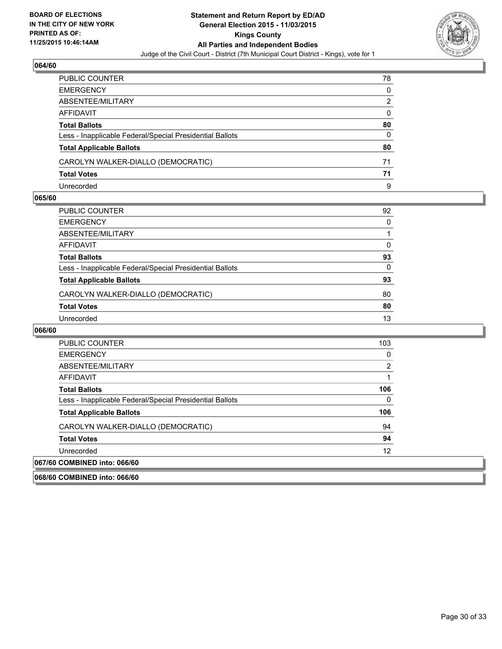

| PUBLIC COUNTER                                           | 78           |
|----------------------------------------------------------|--------------|
| EMERGENCY                                                | $\mathbf{0}$ |
| ABSENTEE/MILITARY                                        | 2            |
| AFFIDAVIT                                                | 0            |
| Total Ballots                                            | 80           |
| Less - Inapplicable Federal/Special Presidential Ballots | 0            |
| <b>Total Applicable Ballots</b>                          | 80           |
| CAROLYN WALKER-DIALLO (DEMOCRATIC)                       | 71           |
| <b>Total Votes</b>                                       | 71           |
| Unrecorded                                               | 9            |

#### **065/60**

| PUBLIC COUNTER                                           | 92 |
|----------------------------------------------------------|----|
| EMERGENCY                                                | 0  |
| ABSENTEE/MILITARY                                        |    |
| AFFIDAVIT                                                | 0  |
| Total Ballots                                            | 93 |
| Less - Inapplicable Federal/Special Presidential Ballots | 0  |
| <b>Total Applicable Ballots</b>                          | 93 |
| CAROLYN WALKER-DIALLO (DEMOCRATIC)                       | 80 |
| <b>Total Votes</b>                                       | 80 |
| Unrecorded                                               | 13 |

| <b>PUBLIC COUNTER</b>                                    | 103 |
|----------------------------------------------------------|-----|
| <b>EMERGENCY</b>                                         | 0   |
| ABSENTEE/MILITARY                                        | 2   |
| AFFIDAVIT                                                |     |
| <b>Total Ballots</b>                                     | 106 |
| Less - Inapplicable Federal/Special Presidential Ballots | 0   |
| <b>Total Applicable Ballots</b>                          | 106 |
| CAROLYN WALKER-DIALLO (DEMOCRATIC)                       | 94  |
| <b>Total Votes</b>                                       | 94  |
| Unrecorded                                               | 12  |
| 067/60 COMBINED into: 066/60                             |     |
| 068/60 COMBINED into: 066/60                             |     |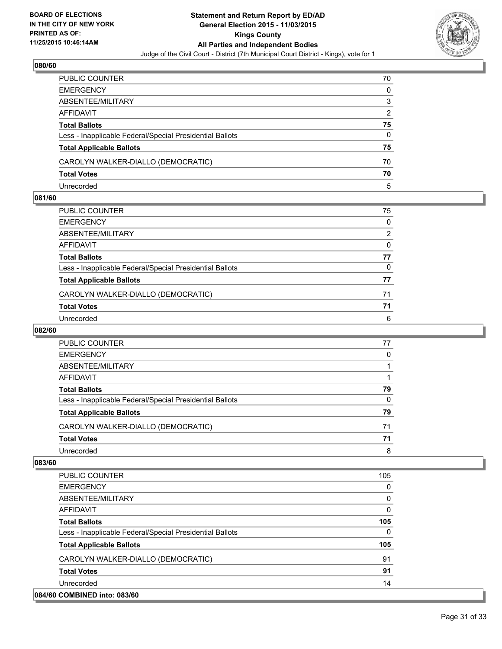

| PUBLIC COUNTER                                           | 70 |
|----------------------------------------------------------|----|
| <b>EMERGENCY</b>                                         | 0  |
| ABSENTEE/MILITARY                                        | 3  |
| AFFIDAVIT                                                | 2  |
| <b>Total Ballots</b>                                     | 75 |
| Less - Inapplicable Federal/Special Presidential Ballots | 0  |
| <b>Total Applicable Ballots</b>                          | 75 |
| CAROLYN WALKER-DIALLO (DEMOCRATIC)                       | 70 |
| <b>Total Votes</b>                                       | 70 |
| Unrecorded                                               | 5  |

#### **081/60**

| PUBLIC COUNTER                                           | 75 |
|----------------------------------------------------------|----|
| EMERGENCY                                                | 0  |
| ABSENTEE/MILITARY                                        | 2  |
| AFFIDAVIT                                                | 0  |
| Total Ballots                                            | 77 |
| Less - Inapplicable Federal/Special Presidential Ballots | 0  |
| <b>Total Applicable Ballots</b>                          | 77 |
| CAROLYN WALKER-DIALLO (DEMOCRATIC)                       | 71 |
| <b>Total Votes</b>                                       | 71 |
| Unrecorded                                               | 6  |
|                                                          |    |

## **082/60**

| <b>PUBLIC COUNTER</b>                                    | 77 |
|----------------------------------------------------------|----|
| <b>EMERGENCY</b>                                         | 0  |
| ABSENTEE/MILITARY                                        |    |
| AFFIDAVIT                                                |    |
| <b>Total Ballots</b>                                     | 79 |
| Less - Inapplicable Federal/Special Presidential Ballots | 0  |
| <b>Total Applicable Ballots</b>                          | 79 |
| CAROLYN WALKER-DIALLO (DEMOCRATIC)                       | 71 |
| <b>Total Votes</b>                                       | 71 |
| Unrecorded                                               | 8  |
|                                                          |    |

| <b>PUBLIC COUNTER</b>                                    | 105 |
|----------------------------------------------------------|-----|
| <b>EMERGENCY</b>                                         | 0   |
| ABSENTEE/MILITARY                                        | 0   |
| <b>AFFIDAVIT</b>                                         | 0   |
| <b>Total Ballots</b>                                     | 105 |
| Less - Inapplicable Federal/Special Presidential Ballots | 0   |
| <b>Total Applicable Ballots</b>                          | 105 |
| CAROLYN WALKER-DIALLO (DEMOCRATIC)                       | 91  |
| <b>Total Votes</b>                                       | 91  |
| Unrecorded                                               | 14  |
| 084/60 COMBINED into: 083/60                             |     |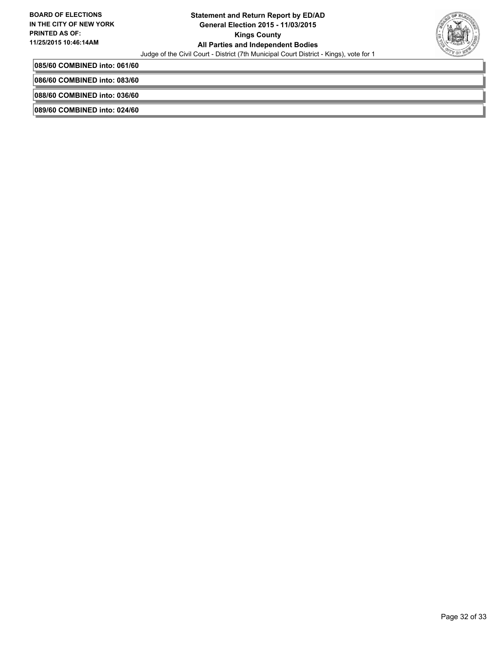

**085/60 COMBINED into: 061/60**

**086/60 COMBINED into: 083/60**

**088/60 COMBINED into: 036/60**

**089/60 COMBINED into: 024/60**